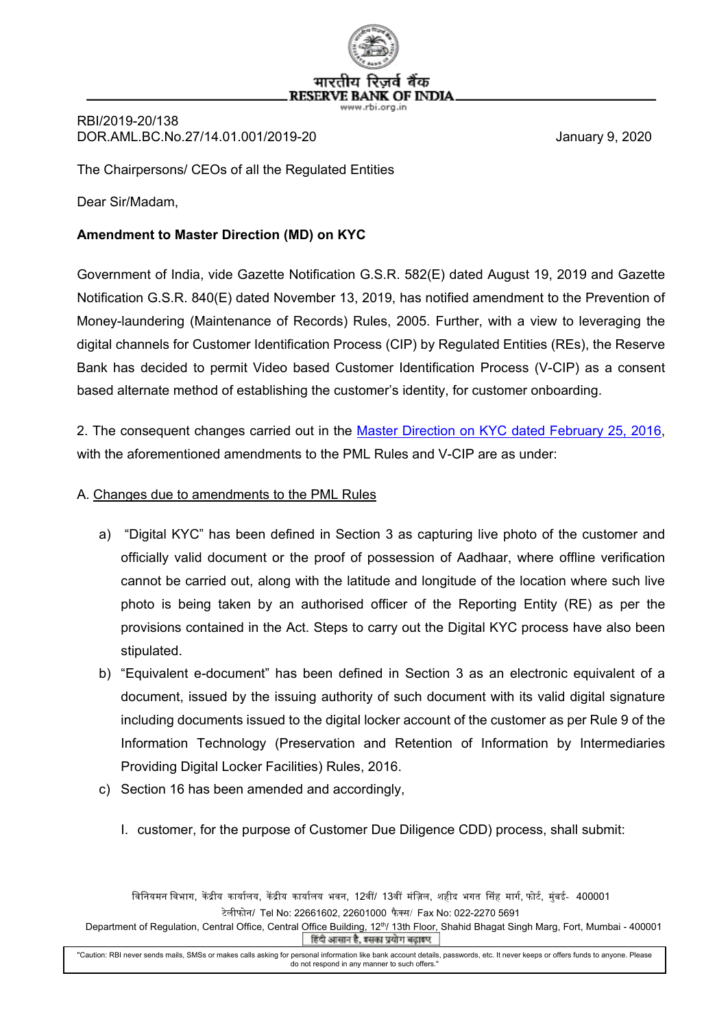

RBI/2019-20/138 DOR.AML.BC.No.27/14.01.001/2019-20 January 9, 2020

The Chairpersons/ CEOs of all the Regulated Entities

Dear Sir/Madam,

## **Amendment to Master Direction (MD) on KYC**

Government of India, vide Gazette Notification G.S.R. 582(E) dated August 19, 2019 and Gazette Notification G.S.R. 840(E) dated November 13, 2019, has notified amendment to the Prevention of Money-laundering (Maintenance of Records) Rules, 2005. Further, with a view to leveraging the digital channels for Customer Identification Process (CIP) by Regulated Entities (REs), the Reserve Bank has decided to permit Video based Customer Identification Process (V-CIP) as a consent based alternate method of establishing the customer's identity, for customer onboarding.

2. The consequent changes carried out in the [Master Direction on KYC dated February 25, 2016,](https://www.rbi.org.in/Scripts/BS_ViewMasDirections.aspx?id=11566) with the aforementioned amendments to the PML Rules and V-CIP are as under:

## A. Changes due to amendments to the PML Rules

- a) "Digital KYC" has been defined in Section 3 as capturing live photo of the customer and officially valid document or the proof of possession of Aadhaar, where offline verification cannot be carried out, along with the latitude and longitude of the location where such live photo is being taken by an authorised officer of the Reporting Entity (RE) as per the provisions contained in the Act. Steps to carry out the Digital KYC process have also been stipulated.
- b) "Equivalent e-document" has been defined in Section 3 as an electronic equivalent of a document, issued by the issuing authority of such document with its valid digital signature including documents issued to the digital locker account of the customer as per Rule 9 of the Information Technology (Preservation and Retention of Information by Intermediaries Providing Digital Locker Facilities) Rules, 2016.
- c) Section 16 has been amended and accordingly,
	- I. customer, for the purpose of Customer Due Diligence CDD) process, shall submit:

विनियमन विभाग, केंद्रीय कार्यालय, केंद्रीय कार्यालय भवन, 12वीं/ 13वीं मंज़िल, शहीद भगत सिंह मार्ग, फोर्ट, मुंबई- 400001 टेलीफोन/ Tel No: 22661602, 22601000 फै क्स/ Fax No: 022-2270 5691

Department of Regulation, Central Office, Central Office Building, 12<sup>th</sup>/ 13th Floor, Shahid Bhagat Singh Marg, Fort, Mumbai - 400001 हिंदी आसान है, इसका प्रयोग बढ़ाइए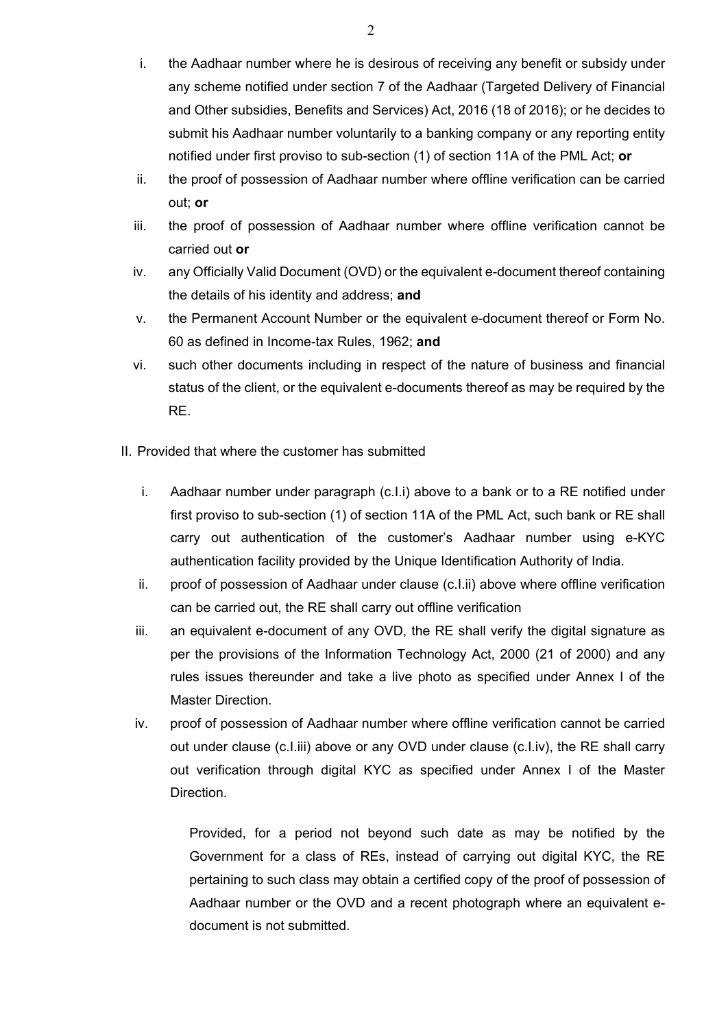- i. the Aadhaar number where he is desirous of receiving any benefit or subsidy under any scheme notified under section 7 of the Aadhaar (Targeted Delivery of Financial and Other subsidies, Benefits and Services) Act, 2016 (18 of 2016); or he decides to submit his Aadhaar number voluntarily to a banking company or any reporting entity notified under first proviso to sub-section (1) of section 11A of the PML Act; **or**
- ii. the proof of possession of Aadhaar number where offline verification can be carried out; **or**
- iii. the proof of possession of Aadhaar number where offline verification cannot be carried out **or**
- iv. any Officially Valid Document (OVD) or the equivalent e-document thereof containing the details of his identity and address; **and**
- v. the Permanent Account Number or the equivalent e-document thereof or Form No. 60 as defined in Income-tax Rules, 1962; **and**
- vi. such other documents including in respect of the nature of business and financial status of the client, or the equivalent e-documents thereof as may be required by the RE.
- II. Provided that where the customer has submitted
	- i. Aadhaar number under paragraph (c.I.i) above to a bank or to a RE notified under first proviso to sub-section (1) of section 11A of the PML Act, such bank or RE shall carry out authentication of the customer's Aadhaar number using e-KYC authentication facility provided by the Unique Identification Authority of India.
	- ii. proof of possession of Aadhaar under clause (c.I.ii) above where offline verification can be carried out, the RE shall carry out offline verification
	- iii. an equivalent e-document of any OVD, the RE shall verify the digital signature as per the provisions of the Information Technology Act, 2000 (21 of 2000) and any rules issues thereunder and take a live photo as specified under Annex I of the Master Direction.
	- iv. proof of possession of Aadhaar number where offline verification cannot be carried out under clause (c.I.iii) above or any OVD under clause (c.I.iv), the RE shall carry out verification through digital KYC as specified under Annex I of the Master **Direction**

Provided, for a period not beyond such date as may be notified by the Government for a class of REs, instead of carrying out digital KYC, the RE pertaining to such class may obtain a certified copy of the proof of possession of Aadhaar number or the OVD and a recent photograph where an equivalent edocument is not submitted.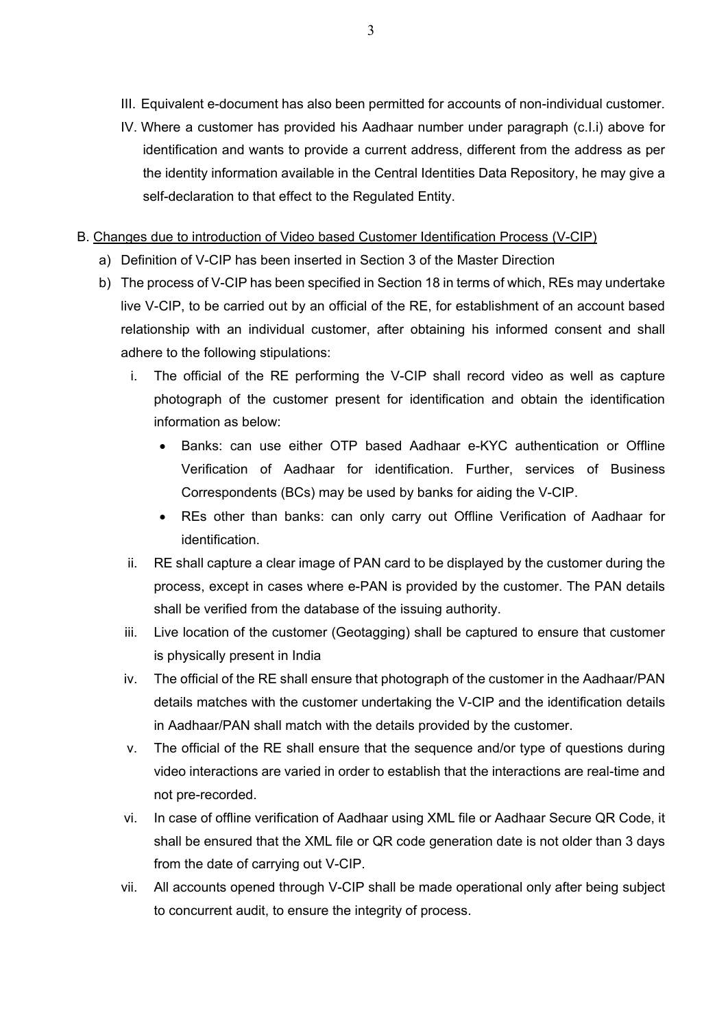- III. Equivalent e-document has also been permitted for accounts of non-individual customer.
- IV. Where a customer has provided his Aadhaar number under paragraph (c.I.i) above for identification and wants to provide a current address, different from the address as per the identity information available in the Central Identities Data Repository, he may give a self-declaration to that effect to the Regulated Entity.
- B. Changes due to introduction of Video based Customer Identification Process (V-CIP)
	- a) Definition of V-CIP has been inserted in Section 3 of the Master Direction
	- b) The process of V-CIP has been specified in Section 18 in terms of which, REs may undertake live V-CIP, to be carried out by an official of the RE, for establishment of an account based relationship with an individual customer, after obtaining his informed consent and shall adhere to the following stipulations:
		- i. The official of the RE performing the V-CIP shall record video as well as capture photograph of the customer present for identification and obtain the identification information as below:
			- Banks: can use either OTP based Aadhaar e-KYC authentication or Offline Verification of Aadhaar for identification. Further, services of Business Correspondents (BCs) may be used by banks for aiding the V-CIP.
			- REs other than banks: can only carry out Offline Verification of Aadhaar for identification.
		- ii. RE shall capture a clear image of PAN card to be displayed by the customer during the process, except in cases where e-PAN is provided by the customer. The PAN details shall be verified from the database of the issuing authority.
		- iii. Live location of the customer (Geotagging) shall be captured to ensure that customer is physically present in India
		- iv. The official of the RE shall ensure that photograph of the customer in the Aadhaar/PAN details matches with the customer undertaking the V-CIP and the identification details in Aadhaar/PAN shall match with the details provided by the customer.
		- v. The official of the RE shall ensure that the sequence and/or type of questions during video interactions are varied in order to establish that the interactions are real-time and not pre-recorded.
		- vi. In case of offline verification of Aadhaar using XML file or Aadhaar Secure QR Code, it shall be ensured that the XML file or QR code generation date is not older than 3 days from the date of carrying out V-CIP.
		- vii. All accounts opened through V-CIP shall be made operational only after being subject to concurrent audit, to ensure the integrity of process.